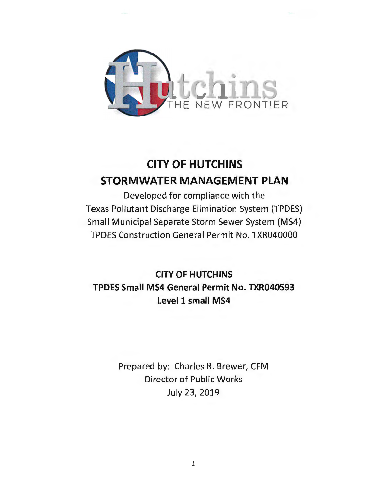

# **CITY OF HUTCHINS STORMWATER MANAGEMENT PLAN**

Developed for compliance with the Texas Pollutant Discharge Elimination System (TPDES) Small Municipal Separate Storm Sewer System (MS4) TPDES Construction General Permit No. TXR040000

**CITY OF HUTCHINS TPDES Small MS4 General Permit No. TXR040593 Level 1 small MS4** 

> Prepared by: Charles R. Brewer, CFM Director of Public Works July 23, 2019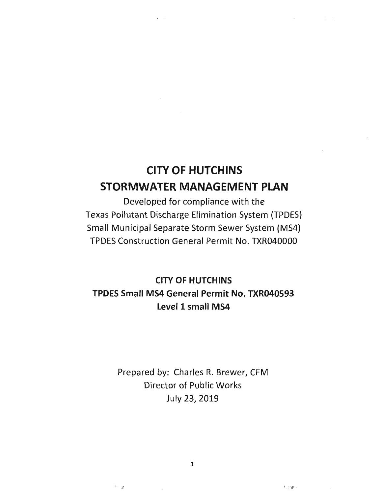# **CITY OF HUTCHINS STORMWATER MANAGEMENT PLAN**

 $\sim$ 

Developed for compliance with the Texas Pollutant Discharge Elimination System (TPDES) Small Municipal Separate Storm Sewer System (MS4) TPDES Construction General Permit No. TXR040000

**CITY OF HUTCHINS TPDES Small MS4 General Permit No. TXR040593 Level 1 small MS4** 

> Prepared by: Charles R. Brewer, CFM Director of Public Works July 23, 2019

> > 1

 $V$  :  $\mathcal{M}^{1,1}$ 

 $V = \mathcal{M}$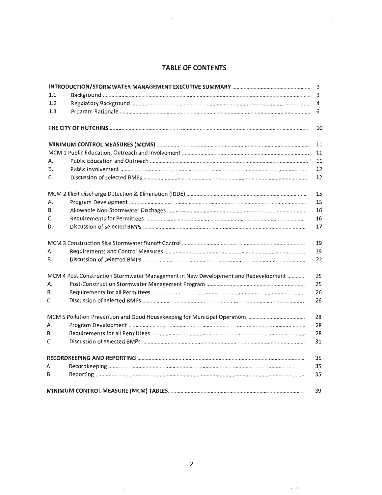# **TABLE OF CONTENTS**

 $\sim 10^{-1}$ 

 $\alpha\in\mathcal{A}$  .

|           |                                                                                    | 3           |
|-----------|------------------------------------------------------------------------------------|-------------|
| 1.1       |                                                                                    | $\mathsf 3$ |
| 1.2       |                                                                                    | 4           |
| 1.3       |                                                                                    | 6           |
|           |                                                                                    | 10          |
|           |                                                                                    | 11          |
|           |                                                                                    | 11          |
| А.        |                                                                                    | 11          |
| <b>B.</b> |                                                                                    | 12          |
| C.        |                                                                                    | 12          |
|           |                                                                                    | 15          |
| А.        |                                                                                    | 15          |
| В.        |                                                                                    | 16          |
| C         |                                                                                    | 16          |
| D.        |                                                                                    | 17          |
|           |                                                                                    | 19          |
| А.        |                                                                                    | 19          |
| В.        |                                                                                    | 22          |
|           | MCM 4 Post Construction Stormwater Management in New Development and Redevelopment | 25          |
| А.        |                                                                                    | 25          |
| В.        |                                                                                    | 26          |
| C.        |                                                                                    | 26          |
|           |                                                                                    | 28          |
| А.        |                                                                                    | 28          |
| <b>B.</b> |                                                                                    | 28          |
| C.        |                                                                                    | 31          |
|           |                                                                                    | 35          |
| А.        |                                                                                    | 35          |
| В.        |                                                                                    | 35          |
|           |                                                                                    | 39          |

 $\alpha\rightarrow\infty$  .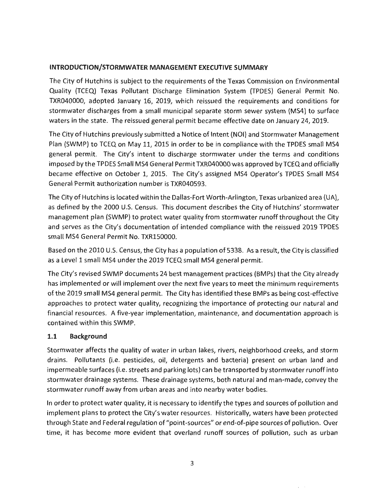#### **INTRODUCTION/STORMWATER MANAGEMENT EXECUTIVE SUMMARY**

The City of Hutchins is subject to the requirements of the Texas Commission on Environmental Quality (TCEQ) Texas Pollutant Discharge Elimination System (TPDES) General Permit No. TXR040000, adopted January 16, 2019, which reissued the requirements and conditions for stormwater discharges from a small municipal separate storm sewer system (MS4) to surface waters in the state. The reissued general permit became effective date on January 24, 2019.

The City of Hutchins previously submitted a Notice of Intent (NOi) and Stormwater Management Plan (SWMP) to TCEQ on May 11, 2015 in order to be in compliance with the TPDES small MS4 general permit. The City's intent to discharge stormwater under the terms and conditions imposed by the TPDES Small MS4 General Permit TXR040000 was approved by TCEQ and officially became effective on October 1, 2015. The City's assigned MS4 Operator's TPDES Small MS4 General Permit authorization number is TXR040593.

The City of Hutchins is located within the Dallas-Fort Worth-Arlington, Texas urbanized area (UA), as defined by the 2000 U.S. Census. This document describes the City of Hutchins' stormwater management plan (SWMP) to protect water quality from stormwater runoff throughout the City and serves as the City's documentation of intended compliance with the reissued 2019 TPDES small MS4 General Permit No. TXR150000.

Based on the 2010 U.S. Census, the City has a population of 5338. As a result, the City is classified as a Level 1 small MS4 under the 2019 TCEQ small MS4 general permit.

The City's revised SWMP documents 24 best management practices (BMPs) that the City already has implemented or will implement over the next five years to meet the minimum requirements of the 2019 small MS4 general permit. The City has identified these BMPs as being cost-effective approaches to protect water quality, recognizing the importance of protecting our natural and financial resources. A five-year implementation, maintenance, and documentation approach is contained within this SWMP.

# **1.1 Background**

Stormwater affects the quality of water in urban lakes, rivers, neighborhood creeks, and storm drains. Pollutants (i.e. pesticides, oil, detergents and bacteria) present on urban land and impermeable surfaces (i.e. streets and parking lots) can be transported by stormwater runoff into stormwater drainage systems. These drainage systems, both natural and man-made, convey the stormwater runoff away from urban areas and into nearby water bodies.

In order to protect water quality, it is necessary to identify the types and sources of pollution and implement plans to protect the City's water resources. Historically, waters have been protected through State and Federal regulation of "point-sources" or end-of-pipe sources of pollution. Over time, it has become more evident that overland runoff sources of pollution, such as urban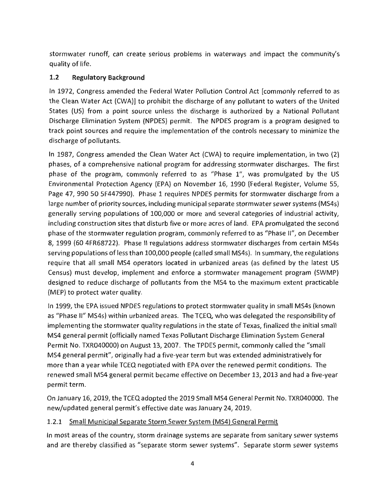stormwater runoff, can create serious problems in waterways and impact the community's quality of life.

# **1.2 Regulatory Background**

In 1972, Congress amended the Federal Water Pollution Control Act [commonly referred to as the Clean Water Act (CWA)] to prohibit the discharge of any pollutant to waters of the United States (US) from a point source unless the discharge is authorized by a National Pollutant Discharge Elimination System {NPDES) permit. The NPDES program is a program designed to track point sources and require the implementation of the controls necessary to minimize the discharge of pollutants.

In 1987, Congress amended the Clean Water Act (CWA) to require implementation, in two (2) phases, of a comprehensive national program for addressing stormwater discharges. The first phase of the program, commonly referred to as "Phase 1", was promulgated by the US Environmental Protection Agency (EPA) on November 16, 1990 (Federal Register, Volume 55, Page 47, 990 50 SF447990). Phase 1 requires NPDES permits for stormwater discharge from a large number of priority sources, including municipal separate stormwater sewer systems (MS4s) generally serving populations of 100,000 or more and several categories of industrial activity, including construction sites that disturb five or more acres of land. EPA promulgated the second phase of the stormwater regulation program, commonly referred to as "Phase II", on December 8, 1999 {60 4FR68722). Phase II regulations address stormwater discharges from certain MS4s serving populations of less than 100,000 people (called small MS4s). In summary, the regulations require that all small MS4 operators located in urbanized areas (as defined by the latest US Census) must develop, implement and enforce a stormwater management program (SWMP) designed to reduce discharge of pollutants from the MS4 to the maximum extent practicable (MEP) to protect water quality.

In 1999, the EPA issued NPDES regulations to protect stormwater quality in small MS4s (known as "Phase II" MS4s) within urbanized areas. The TCEQ, who was delegated the responsibility of implementing the stormwater quality regulations in the state of Texas, finalized the initial small MS4 general permit (officially named Texas Pollutant Discharge Elimination System General Permit No. TXR040000} on August 13, 2007. The TPDES permit, commonly called the "small MS4 general permit", originally had a five-year term but was extended administratively for more than a year while TCEQ negotiated with EPA over the renewed permit conditions. The renewed small MS4 general permit became effective on December 13, 2013 and had a five-year permit term.

On January 16, 2019, the TCEQ adopted the 2019 Small MS4 General Permit No. TXR040000. The new/updated general permit's effective date was January 24, 2019.

# 1.2.1 Small Municipal Separate Storm Sewer System (MS4) General Permit

In most areas of the country, storm drainage systems are separate from sanitary sewer systems and are thereby classified as "separate storm sewer systems". Separate storm sewer systems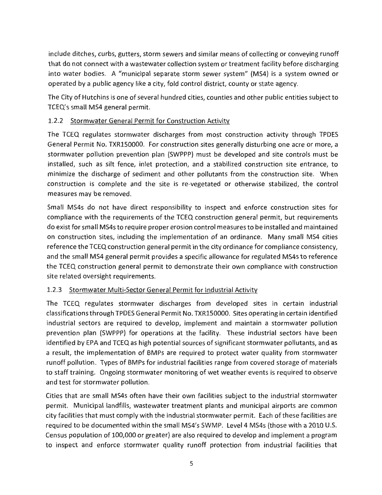include ditches, curbs, gutters, storm sewers and similar means of collecting or conveying runoff that do not connect with a wastewater collection system or treatment facility before discharging into water bodies. A "municipal separate storm sewer system" (MS4) is a system owned or operated by a public agency like a city, fold control district, county or state agency.

The City of Hutchins is one of several hundred cities, counties and other public entities subject to TCEQ's small MS4 general permit.

# 1.2.2 Stormwater General Permit for Construction Activity

The TCEQ regulates stormwater discharges from most construction activity through TPDES General Permit No. TXR150000. For construction sites generally disturbing one acre or more, a stormwater pollution prevention plan (SWPPP) must be developed and site controls must be installed, such as silt fence, inlet protection, and a stabilized construction site entrance, to minimize the discharge of sediment and other pollutants from the construction site. When construction is complete and the site is re-vegetated or otherwise stabilized, the control measures may be removed.

Small MS4s do not have direct responsibility to inspect and enforce construction sites for compliance with the requirements of the TCEQ construction general permit, but requirements do exist for small MS4s to require proper erosion control measures to be installed and maintained on construction sites, including the implementation of an ordinance. Many small MS4 cities reference the TCEQ construction general permit in the city ordinance for compliance consistency, and the small MS4 general permit provides a specific allowance for regulated MS4s to reference the TCEQ construction general permit to demonstrate their own compliance with construction site related oversight requirements.

# 1.2.3 Stormwater Multi-Sector General Permit for Industrial Activity

The TCEQ regulates stormwater discharges from developed sites in certain industrial classifications through TPDES General Permit No. TXR150000. Sites operating in certain identified industrial sectors are required to develop, implement and maintain a stormwater pollution prevention plan (SWPPP) for operations at the facility. These industrial sectors have been identified by EPA and TCEQ as high potential sources of significant stormwater pollutants, and as a result, the implementation of BMPs are required to protect water quality from stormwater runoff pollution. Types of BMPs for industrial facilities range from covered storage of materials to staff training. Ongoing stormwater monitoring of wet weather events is required to observe and test for stormwater pollution.

Cities that are small MS4s often have their own facilities subject to the industrial stormwater permit. Municipal landfills, wastewater treatment plants and municipal airports are common city facilities that must comply with the industrial stormwater permit. Each of these facilities are required to be documented within the small MS4's SWMP. Level 4 MS4s (those with a 2010 U.S. Census population of 100,000 or greater) are also required to develop and implement a program to inspect and enforce stormwater quality runoff protection from industrial facilities that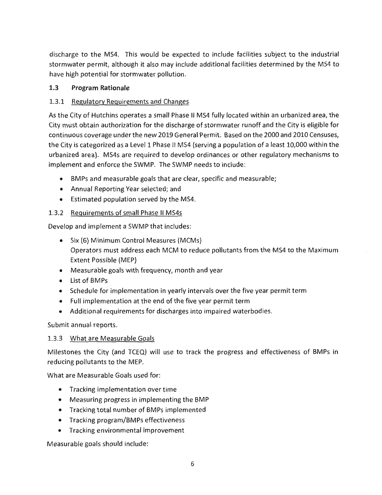discharge to the MS4. This would be expected to include facilities subject to the industrial stormwater permit, although it also may include additional facilities determined by the MS4 to have high potential for stormwater pollution.

# **1.3 Program Rationale**

# 1.3.1 Regulatory Requirements and Changes

As the City of Hutchins operates a small Phase II MS4 fully located within an urbanized area, the City must obtain authorization for the discharge of stormwater runoff and the City is eligible for continuous coverage under the new 2019 General Permit. Based on the 2000 and 2010 Censuses, the City is categorized as a Level 1 Phase II MS4 (serving a population of a least 10,000 within the urbanized area). MS4s are required to develop ordinances or other regulatory mechanisms to implement and enforce the SWMP. The SWMP needs to include:

- BMPs and measurable goals that are clear, specific and measurable;
- Annual Reporting Year selected; and
- Estimated population served by the MS4.

# 1.3.2 Requirements of small Phase II MS4s

Develop and implement a SWMP that includes:

- Six (6) Minimum Control Measures (MCMs) Operators must address each MCM to reduce pollutants from the MS4 to the Maximum Extent Possible (MEP)
- Measurable goals with frequency, month and year
- List of BMPs
- Schedule for implementation in yearly intervals over the five year permit term
- Full implementation at the end of the five year permit term
- Additional requirements for discharges into impaired waterbodies.

Submit annual reports.

# 1.3.3 What are Measurable Goals

Milestones the City (and TCEQ) will use to track the progress and effectiveness of BMPs in reducing pollutants to the MEP.

What are Measurable Goals used for:

- Tracking implementation over time
- Measuring progress in implementing the BMP
- Tracking total number of BMPs implemented
- Tracking program/BMPs effectiveness
- Tracking environmental improvement

Measurable goals should include: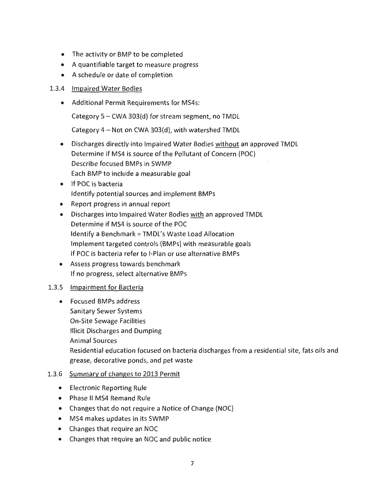- The activity or BMP to be completed
- A quantifiable target to measure progress
- A schedule or date of completion

#### 1.3.4 Impaired Water Bodies

• Additional Permit Requirements for MS4s:

Category  $5 - CWA$  303(d) for stream segment, no TMDL

Category 4- Not on CWA 303(d), with watershed TMDL

- Discharges directly into Impaired Water Bodies without an approved TMDL Determine if MS4 is source of the Pollutant of Concern (POC) Describe focused BMPs in SWMP Each BMP to include a measurable goal
- If POC is bacteria Identify potential sources and implement BMPs
- Report progress in annual report
- Discharges into Impaired Water Bodies with an approved TMDL Determine if MS4 is source of the POC Identify a Benchmark= TMDL's Waste Load Allocation Implement targeted controls (BMPs) with measurable goals If POC is bacteria refer to I-Plan or use alternative BMPs
- Assess progress towards benchmark If no progress, select alternative BMPs

# 1.3.5 Impairment for Bacteria

• Focused BMPs address Sanitary Sewer Systems On-Site Sewage Facilities Illicit Discharges and Dumping Animal Sources Residential education focused on bacteria discharges from a residential site, fats oils and grease, decorative ponds, and pet waste

#### 1.3.6 Summary of changes to 2013 Permit

- Electronic Reporting Rule
- Phase 11 MS4 Remand Rule
- Changes that do not require a Notice of Change (NOC)
- MS4 makes updates in its SWMP
- Changes that require an NOC
- Changes that require an NOC and public notice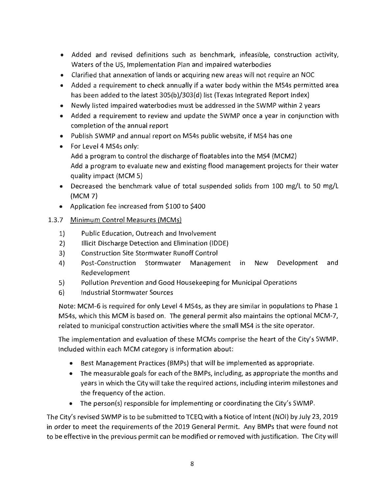- Added and revised definitions such as benchmark, infeasible, construction activity, Waters of the US, Implementation Plan and impaired waterbodies
- Clarified that annexation of lands or acquiring new areas will not require an NOC
- Added a requirement to check annually if a water body within the MS4s permitted area has been added to the latest 305{b)/303{d) list (Texas Integrated Report Index)
- Newly listed impaired waterbodies must be addressed in the SWMP within 2 years
- Added a requirement to review and update the SWMP once a year in conjunction with completion of the annual report
- Publish SWMP and annual report on MS4s public website, if MS4 has one
- For Level 4 MS4s only: Add a program to control the discharge of floatables into the MS4 (MCM2)
	- Add a program to evaluate new and existing flood management projects for their water quality impact {MCM 5)
- Decreased the benchmark value of total suspended solids from 100 mg/L to 50 mg/L (MCM 7)
- Application fee increased from \$100 to \$400

# 1.3.7 Minimum Control Measures (MCMs)

- 1) Public Education, Outreach and Involvement
- 2) Illicit Discharge Detection and Elimination (IDDE)
- 3) Construction Site Stormwater Runoff Control
- 4) Post-Construction Stormwater Management in New Development and Redevelopment
- 5) Pollution Prevention and Good Housekeeping for Municipal Operations
- 6) Industrial Stormwater Sources

Note: MCM-6 is required for only Level 4 MS4s, as they are similar in populations to Phase 1 MS4s, which this MCM is based on. The general permit also maintains the optional MCM-7, related to municipal construction activities where the small MS4 is the site operator.

The implementation and evaluation of these MCMs comprise the heart of the City's SWMP. Included within each MCM category is information about:

- Best Management Practices (BMPs) that will be implemented as appropriate.
- The measurable goals for each of the BMPs, including, as appropriate the months and years in which the City will take the required actions, including interim milestones and the frequency of the action.
- The person(s) responsible for implementing or coordinating the City's SWMP.

The City's revised SWMP is to be submitted to TCEQ with a Notice of Intent (NOi) by July 23, 2019 in order to meet the requirements of the 2019 General Permit. Any BMPs that were found not to be effective in the previous permit can be modified or removed with justification. The City will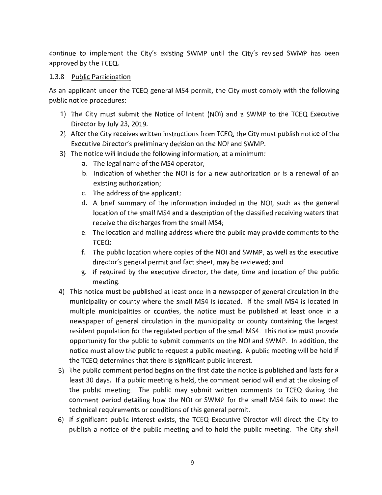continue to implement the City's existing SWMP until the City's revised SWMP has been approved by the TCEQ.

#### 1.3.8 Public Participation

As an applicant under the TCEQ general MS4 permit, the City must comply with the following public notice procedures:

- 1) The City must submit the Notice of Intent (NOi) and a SWMP to the TCEQ Executive Director by July 23, 2019.
- 2) After the City receives written instructions from TCEQ, the City must publish notice of the Executive Director's preliminary decision on the NOi and SWMP.
- 3) The notice will include the following information, at a minimum:
	- a. The legal name of the MS4 operator;
	- b. Indication of whether the NOi is for a new authorization or is a renewal of an existing authorization;
	- c. The address of the applicant;
	- d. A brief summary of the information included in the NOi, such as the general location of the small MS4 and a description of the classified receiving waters that receive the discharges from the small MS4;
	- e. The location and mailing address where the public may provide comments to the TCEQ;
	- f. The public location where copies of the NOi and SWMP, as well as the executive director's general permit and fact sheet, may be reviewed; and
	- g. If required by the executive director, the date, time and location of the public meeting.
- 4) This notice must be published at least once in a newspaper of general circulation in the municipality or county where the small MS4 is located. If the small MS4 is located in multiple municipalities or counties, the notice must be published at least once in a newspaper of general circulation in the municipality or county containing the largest resident population for the regulated portion of the small MS4. This notice must provide opportunity for the public to submit comments on the NOi and SWMP. In addition, the notice must allow the public to request a public meeting. A public meeting will be held if the TCEQ determines that there is significant public interest.
- 5) The public comment period begins on the first date the notice is published and lasts for a least 30 days. If a public meeting is held, the comment period will end at the closing of the public meeting. The public may submit written comments to TCEQ during the comment period detailing how the NOi or SWMP for the small MS4 fails to meet the technical requirements or conditions of this general permit.
- 6) If significant public interest exists, the TCEQ Executive Director will direct the City to publish a notice of the public meeting and to hold the public meeting. The City shall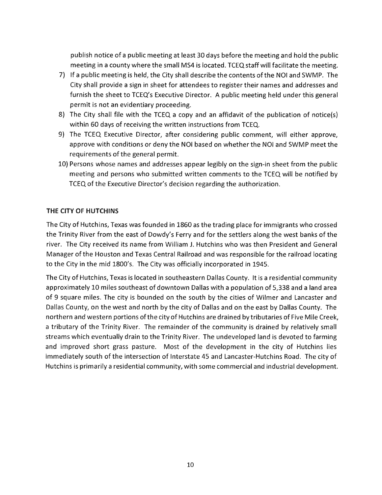publish notice of a public meeting at least 30 days before the meeting and hold the public meeting in a county where the small MS4 is located. TCEQ staff will facilitate the meeting.

- 7) If a public meeting is held, the City shall describe the contents of the NOi and SWMP. The City shall provide a sign in sheet for attendees to register their names and addresses and furnish the sheet to TCEQ's Executive Director. A public meeting held under this general permit is not an evidentiary proceeding.
- 8) The City shall file with the TCEQ a copy and an affidavit of the publication of notice(s) within 60 days of receiving the written instructions from TCEQ.
- 9) The TCEQ Executive Director, after considering public comment, will either approve, approve with conditions or deny the NOi based on whether the NOi and SWMP meet the requirements of the general permit.
- 10) Persons whose names and addresses appear legibly on the sign-in sheet from the public meeting and persons who submitted written comments to the TCEQ will be notified by TCEQ of the Executive Director's decision regarding the authorization.

# **THE CITY OF HUTCHINS**

The City of Hutchins, Texas was founded in 1860 as the trading place for immigrants who crossed the Trinity River from the east of Dowdy's Ferry and for the settlers along the west banks of the river. The City received its name from William J. Hutchins who was then President and General Manager of the Houston and Texas Central Railroad and was responsible for the railroad locating to the City in the mid 1800's. The City was officially incorporated in 1945.

The City of Hutchins, Texas is located in southeastern Dallas County. It is a residential community approximately 10 miles southeast of downtown Dallas with a population of 5,338 and a land area of 9 square miles. The city is bounded on the south by the cities of Wilmer and Lancaster and Dallas County, on the west and north by the city of Dallas and on the east by Dallas County. The northern and western portions of the city of Hutchins are drained by tributaries of Five Mile Creek, a tributary of the Trinity River. The remainder of the community is drained by relatively small streams which eventually drain to the Trinity River. The undeveloped land is devoted to farming and improved short grass pasture. Most of the development in the city of Hutchins lies immediately south of the intersection of Interstate 45 and Lancaster-Hutchins Road. The city of Hutchins is primarily a residential community, with some commercial and industrial development.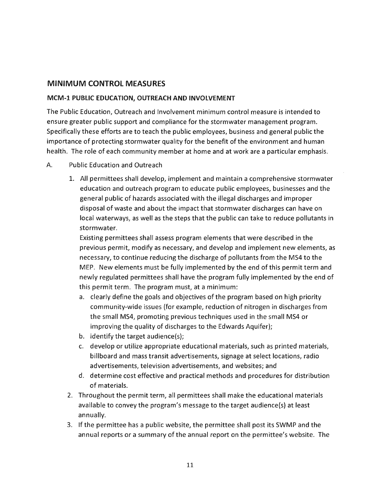# **MINIMUM CONTROL MEASURES**

#### **MCM-1 PUBLIC EDUCATION, OUTREACH AND INVOLVEMENT**

The Public Education, Outreach and Involvement minimum control measure is intended to ensure greater public support and compliance for the stormwater management program. Specifically these efforts are to teach the public employees, business and general public the importance of protecting stormwater quality for the benefit of the environment and human health. The role of each community member at home and at work are a particular emphasis.

#### A. Public Education and Outreach

1. All permittees shall develop, implement and maintain a comprehensive stormwater education and outreach program to educate public employees, businesses and the general public of hazards associated with the illegal discharges and improper disposal of waste and about the impact that storm water discharges can have on local waterways, as well as the steps that the public can take to reduce pollutants in stormwater.

Existing permittees shall assess program elements that were described in the previous permit, modify as necessary, and develop and implement new elements, as necessary, to continue reducing the discharge of pollutants from the MS4 to the MEP. New elements must be fully implemented by the end of this permit term and newly regulated permittees shall have the program fully implemented by the end of this permit term. The program must, at a minimum:

- a. clearly define the goals and objectives of the program based on high priority community-wide issues (for example, reduction of nitrogen in discharges from the small MS4, promoting previous techniques used in the small MS4 or improving the quality of discharges to the Edwards Aquifer);
- b. identify the target audience(s);
- c. develop or utilize appropriate educational materials, such as printed materials, billboard and mass transit advertisements, signage at select locations, radio advertisements, television advertisements, and websites; and
- d. determine cost effective and practical methods and procedures for distribution of materials.
- 2. Throughout the permit term, all permittees shall make the educational materials available to convey the program's message to the target audience(s) at least annually.
- 3. If the permittee has a public website, the permittee shall post its SWMP and the annual reports or a summary of the annual report on the permittee's website. The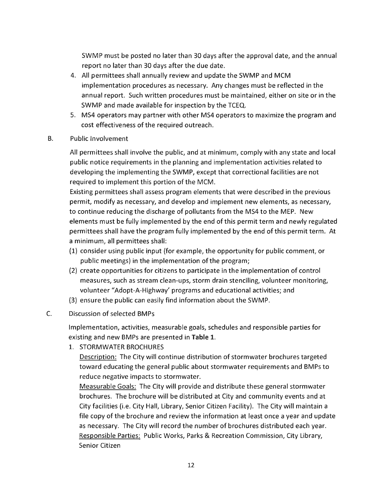SWMP must be posted no later than 30 days after the approval date, and the annual report no later than 30 days after the due date.

- 4. All permittees shall annually review and update the SWMP and MCM implementation procedures as necessary. Any changes must be reflected in the annual report. Such written procedures must be maintained, either on site or in the SWMP and made available for inspection by the TCEQ.
- 5. MS4 operators may partner with other MS4 operators to maximize the program and cost effectiveness of the required outreach.
- B. Public Involvement

All permittees shall involve the public, and at minimum, comply with any state and local public notice requirements in the planning and implementation activities related to developing the implementing the SWMP, except that correctional facilities are not required to implement this portion of the MCM.

Existing permittees shall assess program elements that were described in the previous permit, modify as necessary, and develop and implement new elements, as necessary, to continue reducing the discharge of pollutants from the MS4 to the MEP. New elements must be fully implemented by the end of this permit term and newly regulated permittees shall have the program fully implemented by the end of this permit term. At a minimum, all permittees shall:

- (1) consider using public input (for example, the opportunity for public comment, or public meetings) in the implementation of the program;
- (2) create opportunities for citizens to participate in the implementation of control measures, such as stream clean-ups, storm drain stenciling, volunteer monitoring, volunteer "Adopt-A-Highway' programs and educational activities; and
- (3) ensure the public can easily find information about the SWMP.
- C. Discussion of selected BMPs

Implementation, activities, measurable goals, schedules and responsible parties for existing and new BMPs are presented in **Table 1.** 

1. STORMWATER BROCHURES

Description: The City will continue distribution of stormwater brochures targeted toward educating the general public about stormwater requirements and BMPs to reduce negative impacts to stormwater.

Measurable Goals: The City will provide and distribute these general stormwater brochures. The brochure will be distributed at City and community events and at City facilities (i.e. City Hall, Library, Senior Citizen Facility). The City will maintain a file copy of the brochure and review the information at least once a year and update as necessary. The City will record the number of brochures distributed each year. Responsible Parties: Public Works, Parks & Recreation Commission, City Library, Senior Citizen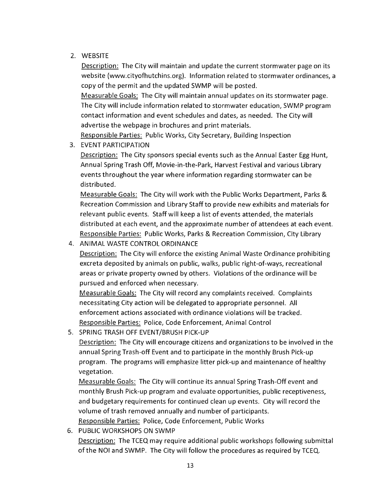# 2. WEBSITE

Description: The City will maintain and update the current stormwater page on its website (www.cityofhutchins.org). Information related to stormwater ordinances, a copy of the permit and the updated SWMP will be posted.

Measurable Goals: The City will maintain annual updates on its stormwater page. The City will include information related to stormwater education, SWMP program contact information and event schedules and dates, as needed. The City will advertise the webpage in brochures and print materials.

Responsible Parties: Public Works, City Secretary, Building Inspection

# 3. EVENT PARTICIPATION

Description: The City sponsors special events such as the Annual Easter Egg Hunt, Annual Spring Trash Off, Movie-in-the-Park, Harvest Festival and various Library events throughout the year where information regarding stormwater can be distributed.

Measurable Goals: The City will work with the Public Works Department, Parks & Recreation Commission and Library Staff to provide new exhibits and materials for relevant public events. Staff will keep a list of events attended, the materials distributed at each event, and the approximate number of attendees at each event. Responsible Parties: Public Works, Parks & Recreation Commission, City Library

# 4. ANIMAL WASTE CONTROL ORDINANCE

Description: The City will enforce the existing Animal Waste Ordinance prohibiting excreta deposited by animals on public, walks, public right-of-ways, recreational areas or private property owned by others. Violations of the ordinance will be pursued and enforced when necessary.

Measurable Goals: The City will record any complaints received. Complaints necessitating City action will be delegated to appropriate personnel. All enforcement actions associated with ordinance violations will be tracked. Responsible Parties: Police, Code Enforcement, Animal Control

5. SPRING TRASH OFF EVENT/BRUSH PICK-UP

Description: The City will encourage citizens and organizations to be involved in the annual Spring Trash-off Event and to participate in the monthly Brush Pick-up program. The programs will emphasize litter pick-up and maintenance of healthy vegetation.

Measurable Goals: The City will continue its annual Spring Trash-Off event and monthly Brush Pick-up program and evaluate opportunities, public receptiveness, and budgetary requirements for continued clean up events. City will record the volume of trash removed annually and number of participants. Responsible Parties: Police, Code Enforcement, Public Works

6. PUBLIC WORKSHOPS ON SWMP Description: The TCEQ may require additional public workshops following submittal of the NOi and SWMP. The City will follow the procedures as required by TCEQ.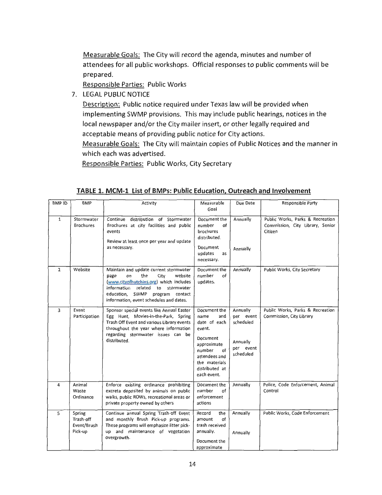Measurable Goals: The City will record the agenda, minutes and number of attendees for all public workshops. Official responses to public comments will be prepared.

Responsible Parties: Public Works

7. LEGAL PUBLIC NOTICE

Description: Public notice required under Texas law will be provided when implementing SWMP provisions. This may include public hearings, notices in the local newspaper and/or the City mailer insert, or other legally required and acceptable means of providing public notice for City actions.

Measurable Goals: The City will maintain copies of Public Notices and the manner in which each was advertised.

Responsible Parties: Public Works, City Secretary

| BMP ID         | <b>BMP</b>                                    | Activity                                                                                                                                                                                                                                        | Measurable<br>Goal                                                                                                                                                  | Due Date                                                                 | Responsible Party                                                               |
|----------------|-----------------------------------------------|-------------------------------------------------------------------------------------------------------------------------------------------------------------------------------------------------------------------------------------------------|---------------------------------------------------------------------------------------------------------------------------------------------------------------------|--------------------------------------------------------------------------|---------------------------------------------------------------------------------|
| $\mathbf{1}$   | Stormwater<br><b>Brochures</b>                | Continue distribution of Stormwater<br>Brochures at city facilities and public<br>events<br>Review at least once per year and update<br>as necessary.                                                                                           | Document the<br>of<br>number<br>brochures<br>distributed.<br>Document<br>updates<br>as<br>necessary.                                                                | Annually<br>Annually                                                     | Public Works, Parks & Recreation<br>Commission, City Library, Senior<br>Citizen |
| $\overline{2}$ | Website                                       | Maintain and update current stormwater<br>the<br>Ωņ<br>City<br>website<br>page<br>(www.cityofhutchins.org) which includes<br>information<br>related to stormwater<br>education, SWMP program contact<br>information, event schedules and dates. | Document the<br>of<br>number<br>updates.                                                                                                                            | Annually                                                                 | Public Works, City Secretary                                                    |
| 3              | Event<br>Participation                        | Sponsor special events like Annual Easter<br>Egg Hunt, Movies-in-the-Park, Spring<br>Trash Off Event and various Library events<br>throughout the year where information<br>regarding stormwater issues can be<br>distributed.                  | Document the<br>name<br>and<br>date of each<br>event.<br>Document<br>approximate<br>number<br>of<br>attendees and<br>the materials<br>distributed at<br>each event. | Annually<br>per event<br>scheduled<br>Annually<br>per event<br>scheduled | Public Works, Parks & Recreation<br>Commission, City Library                    |
| 4              | Animal<br>Waste<br>Ordinance                  | Enforce existing ordinance prohibiting<br>excreta deposited by animals on public<br>walks, public ROWs, recreational areas or<br>private property owned by others                                                                               | Document the<br>number<br>οf<br>enforcement<br>actions                                                                                                              | Annually                                                                 | Police, Code Enforcement, Animal<br>Control                                     |
| 5              | Spring<br>Trash-off<br>Event/Brush<br>Pick-up | Continue annual Spring Trash-off Event<br>and monthly Brush Pick-up programs.<br>These programs will emphasize litter pick-<br>up and maintenance of vegetation<br>overgrowth.                                                                  | Record<br>the<br>of<br>amount<br>trash received<br>annually.<br>Document the<br>approximate                                                                         | Annually<br>Annually                                                     | Public Works, Code Enforcement                                                  |

#### **TABLE 1. MCM-1 List of BMPs: Public Education, Outreach and Involvement**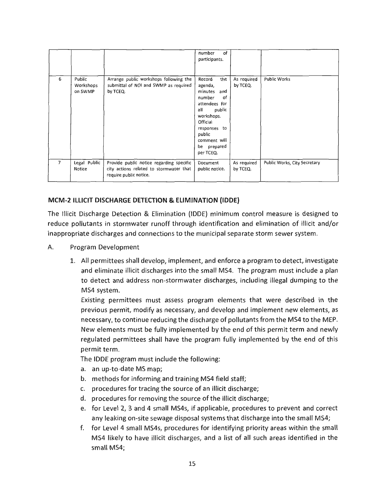|   |                                |                                                                                                               | of<br>number<br>participants.                                                                                                                                                                |                         |                              |
|---|--------------------------------|---------------------------------------------------------------------------------------------------------------|----------------------------------------------------------------------------------------------------------------------------------------------------------------------------------------------|-------------------------|------------------------------|
| 6 | Public<br>Workshops<br>on SWMP | Arrange public workshops following the<br>submittal of NOI and SWMP as required<br>by TCEQ.                   | Record<br>the<br>agenda,<br>minutes<br>and<br>number<br>of<br>attendees for<br>all<br>public<br>workshops.<br>Official<br>responses to<br>public<br>comment will<br>be prepared<br>per TCEQ. | As required<br>by TCEQ. | <b>Public Works</b>          |
| 7 | Legal Public<br>Notice         | Provide public notice regarding specific<br>city actions related to stormwater that<br>require public notice. | Document<br>public notice.                                                                                                                                                                   | As required<br>by TCEQ. | Public Works, City Secretary |

# **MCM-2 ILLICIT DISCHARGE DETECTION & ELIMINATION (IDDE)**

The Illicit Discharge Detection & Elimination {IDDE) minimum control measure is designed to reduce pollutants in stormwater runoff through identification and elimination of illicit and/or inappropriate discharges and connections to the municipal separate storm sewer system.

- A. Program Development
	- 1. All permittees shall develop, implement, and enforce a program to detect, investigate and eliminate illicit discharges into the small MS4. The program must include a plan to detect and address non-stormwater discharges, including illegal dumping to the MS4 system.

Existing permittees must assess program elements that were described in the previous permit, modify as necessary, and develop and implement new elements, as necessary, to continue reducing the discharge of pollutants from the MS4 to the MEP. New elements must be fully implemented by the end of this permit term and newly regulated permittees shall have the program fully implemented by the end of this permit term.

The IDDE program must include the following:

- a. an up-to-date MS map;
- b. methods for informing and training MS4 field staff;
- c. procedures for tracing the source of an illicit discharge;
- d. procedures for removing the source of the illicit discharge;
- e. for Level 2, 3 and 4 small MS4s, if applicable, procedures to prevent and correct any leaking on-site sewage disposal systems that discharge into the small MS4;
- f. for Level 4 small MS4s, procedures for identifying priority areas within the small MS4 likely to have illicit discharges, and a list of all such areas identified in the small MS4;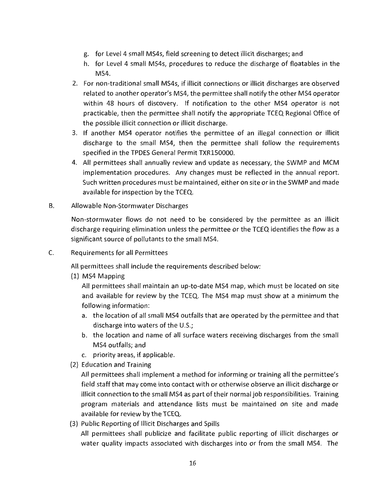- g. for Level 4 small MS4s, field screening to detect illicit discharges; and
- h. for Level 4 small MS4s, procedures to reduce the discharge of floatables in the MS4.
- 2. For non-traditional small MS4s, if illicit connections or illicit discharges are observed related to another operator's MS4, the permittee shall notify the other MS4 operator within 48 hours of discovery. If notification to the other MS4 operator is not practicable, then the permittee shall notify the appropriate TCEQ Regional Office of the possible illicit connection or illicit discharge.
- 3. If another MS4 operator notifies the permittee of an illegal connection or illicit discharge to the small MS4, then the permittee shall follow the requirements specified in the TPDES General Permit TXR150000.
- 4. All permittees shall annually review and update as necessary, the SWMP and MCM implementation procedures. Any changes must be reflected in the annual report. Such written procedures must be maintained, either on site or in the SWMP and made available for inspection by the TCEQ.
- B. Allowable Non-Stormwater Discharges

Non-stormwater flows do not need to be considered by the permittee as an illicit discharge requiring elimination unless the permittee or the TCEQ identifies the flow as a significant source of pollutants to the small MS4.

C. Requirements for all Permittees

All permittees shall include the requirements described below:

(1) MS4 Mapping

All permittees shall maintain an up-to-date MS4 map, which must be located on site and available for review by the TCEQ. The MS4 map must show at a minimum the following information:

- a. the location of all small MS4 outfalls that are operated by the permittee and that discharge into waters of the U.S.;
- b. the location and name of all surface waters receiving discharges from the small MS4 outfalls; and
- c. priority areas, if applicable.
- (2) Education and Training

All permittees shall implement a method for informing or training all the permittee's field staff that may come into contact with or otherwise observe an illicit discharge or illicit connection to the small MS4 as part of their normal job responsibilities. Training program materials and attendance lists must be maintained on site and made available for review by the TCEQ.

(3) Public Reporting of Illicit Discharges and Spills All permittees shall publicize and facilitate public reporting of illicit discharges or water quality impacts associated with discharges into or from the small MS4. The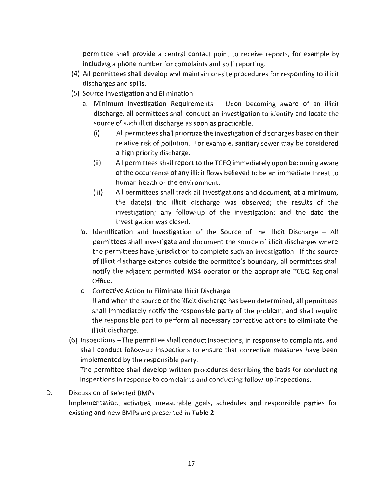permittee shall provide a central contact point to receive reports, for example by including a phone number for complaints and spill reporting.

- (4) All permittees shall develop and maintain on-site procedures for responding to illicit discharges and spills.
- (5) Source Investigation and Elimination
	- a. Minimum Investigation Requirements Upon becoming aware of an illicit discharge, all permittees shall conduct an investigation to identify and locate the source of such illicit discharge as soon as practicable.
		- (i) All permittees shall prioritize the investigation of discharges based on their relative risk of pollution. For example, sanitary sewer may be considered a high priority discharge.
		- (ii) All permittees shall report to the TCEQ immediately upon becoming aware of the occurrence of any illicit flows believed to be an immediate threat to human health or the environment.
		- (iii) All permittees shall track all investigations and document, at a minimum, the date(s) the illicit discharge was observed; the results of the investigation; any follow-up of the investigation; and the date the investigation was closed.
	- b. Identification and Investigation of the Source of the Illicit Discharge All permittees shall investigate and document the source of illicit discharges where the permittees have jurisdiction to complete such an investigation. If the source of illicit discharge extends outside the permittee's boundary, all permittees shall notify the adjacent permitted MS4 operator or the appropriate TCEQ Regional Office.
	- c. Corrective Action to Eliminate Illicit Discharge If and when the source of the illicit discharge has been determined, all permittees shall immediately notify the responsible party of the problem, and shall require the responsible part to perform all necessary corrective actions to eliminate the illicit discharge.
- (6) Inspections The permittee shall conduct inspections, in response to complaints, and shall conduct follow-up inspections to ensure that corrective measures have been implemented by the responsible party.

The permittee shall develop written procedures describing the basis for conducting inspections in response to complaints and conducting follow-up inspections.

D. Discussion of selected BMPs

Implementation, activities, measurable goals, schedules and responsible parties for existing and new BMPs are presented in **Table 2.**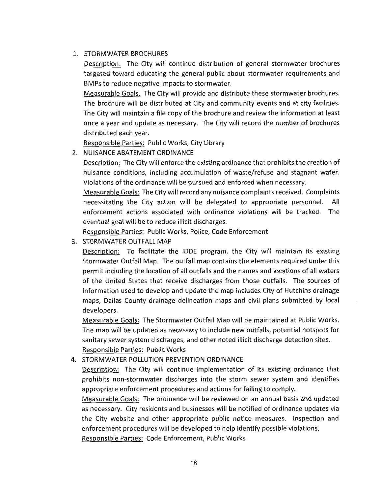# 1. STORMWATER BROCHURES

Description: The City will continue distribution of general stormwater brochures targeted toward educating the general public about stormwater requirements and BMPs to reduce negative impacts to stormwater.

Measurable Goals. The City will provide and distribute these stormwater brochures. The brochure will be distributed at City and community events and at city facilities. The City will maintain a file copy of the brochure and review the information at least once a year and update as necessary. The City will record the number of brochures distributed each year.

Responsible Parties: Public Works, City Library

# 2. NUISANCE ABATEMENT ORDINANCE

Description: The City will enforce the existing ordinance that prohibits the creation of nuisance conditions, including accumulation of waste/refuse and stagnant water. Violations of the ordinance will be pursued and enforced when necessary.

Measurable Goals: The City will record any nuisance complaints received. Complaints necessitating the City action will be delegated to appropriate personnel. All enforcement actions associated with ordinance violations will be tracked. The eventual goal will be to reduce illicit discharges.

Responsible Parties: Public Works, Police, Code Enforcement

3. ST0RMWATER OUTFALL MAP

Description: To facilitate the IDDE program, the City will maintain its existing Stormwater Outfall Map. The outfall map contains the elements required under this permit including the location of all outfalls and the names and locations of all waters of the United States that receive discharges from those outfalls. The sources of information used to develop and update the map includes City of Hutchins drainage maps, Dallas County drainage delineation maps and civil plans submitted by local developers.

Measurable Goals: The Stormwater Outfall Map will be maintained at Public Works. The map will be updated as necessary to include new outfalls, potential hotspots for sanitary sewer system discharges, and other noted illicit discharge detection sites. Responsible Parties: Public Works

# 4. STORMWATER POLLUTION PREVENTION ORDINANCE

Description: The City will continue implementation of its existing ordinance that prohibits non-stormwater discharges into the storm sewer system and identifies appropriate enforcement procedures and actions for failing to comply.

Measurable Goals: The ordinance will be reviewed on an annual basis and updated as necessary. City residents and businesses will be notified of ordinance updates via the City website and other appropriate public notice measures. Inspection and enforcement procedures will be developed to help identify possible violations.

Responsible Parties: Code Enforcement, Public Works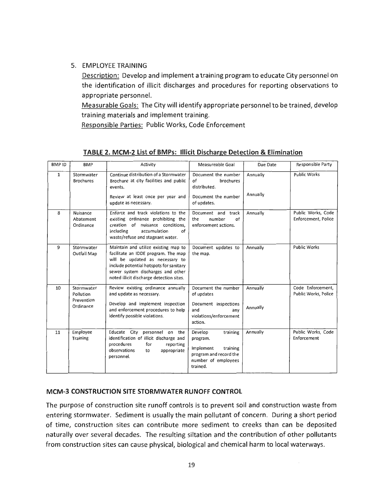#### 5. EMPLOYEE TRAINING

Description: Develop and implement a training program to educate City personnel on the identification of illicit discharges and procedures for reporting observations to appropriate personnel.

Measurable Goals: The City will identify appropriate personnel to be trained, develop training materials and implement training.

Responsible Parties: Public Works, Code Enforcement

| <b>BMPID</b> | <b>BMP</b>                                         | Activity                                                                                                                                                                                                                                   | Measureable Goal                                                                                                      | Due Date             | Responsible Party                         |
|--------------|----------------------------------------------------|--------------------------------------------------------------------------------------------------------------------------------------------------------------------------------------------------------------------------------------------|-----------------------------------------------------------------------------------------------------------------------|----------------------|-------------------------------------------|
| $\mathbf{1}$ | Stormwater<br><b>Brochures</b>                     | Continue distribution of a Stormwater<br>Brochure at city facilities and public<br>events.<br>Review at least once per year and<br>update as necessary.                                                                                    | Document the number<br>brochures<br>of<br>distributed.<br>Document the number<br>of updates.                          | Annually<br>Annually | <b>Public Works</b>                       |
| 8            | Nuisance<br>Abatement<br>Ordinance                 | Enforce and track violations to the<br>existing ordinance prohibiting the<br>creation of nuisance conditions.<br>including<br>accumulation<br>of<br>waste/refuse and stagnant water.                                                       | Document and<br>track<br>of<br>number<br>the<br>enforcement actions.                                                  | Annually             | Public Works, Code<br>Enforcement, Police |
| 9            | Stormwater<br>Outfall Map                          | Maintain and utilize existing map to<br>facilitate an IDDE program. The map<br>will be updated as necessary to<br>include potential hotspots for sanitary<br>sewer system discharges and other<br>noted illicit discharge detection sites. | Document updates to<br>the map.                                                                                       | Annually             | <b>Public Works</b>                       |
| 10           | Stormwater<br>Pollution<br>Prevention<br>Ordinance | Review existing ordinance annually<br>and update as necessary.<br>Develop and implement inspection<br>and enforcement procedures to help<br>identify possible violations.                                                                  | Document the number<br>of updates<br>Document inspections<br>and<br>anv<br>violations/enforcement<br>action.          | Annually<br>Annually | Code Enforcement,<br>Public Works, Police |
| 11           | Employee<br>Training                               | Educate City<br>personnel on the<br>identification of illicit discharge and<br>procedures<br>for<br>reporting<br>observations<br>appropriate<br>to<br>personnel.                                                                           | training<br>Develop<br>program.<br>Implement<br>training<br>program and record the<br>number of employees<br>trained. | Annually             | Public Works, Code<br>Enforcement         |

#### **TABLE 2. MCM-2 List of BMPs: Illicit Discharge Detection** & **Elimination**

#### **MCM-3 CONSTRUCTION SITE STORMWATER RUNOFF CONTROL**

The purpose of construction site runoff controls is to prevent soil and construction waste from entering stormwater. Sediment is usually the main pollutant of concern. During a short period of time, construction sites can contribute more sediment to creeks than can be deposited naturally over several decades. The resulting siltation and the contribution of other pollutants from construction sites can cause physical, biological and chemical harm to local waterways.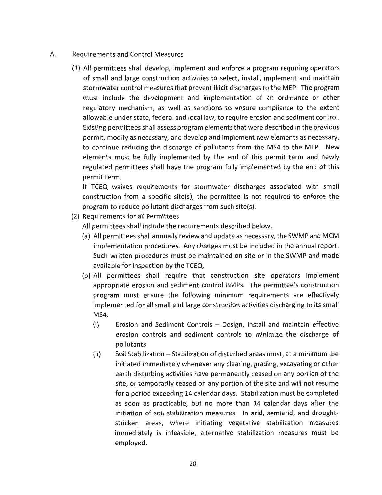#### A. Requirements and Control Measures

(1) All permittees shall develop, implement and enforce a program requiring operators of small and large construction activities to select, install, implement and maintain stormwater control measures that prevent illicit discharges to the MEP. The program must include the development and implementation of an ordinance or other regulatory mechanism, as well as sanctions to ensure compliance to the extent allowable under state, federal and local law, to require erosion and sediment control. Existing permittees shall assess program elements that were described in the previous permit, modify as necessary, and develop and implement new elements as necessary, to continue reducing the discharge of pollutants from the MS4 to the MEP. New elements must be fully implemented by the end of this permit term and newly regulated permittees shall have the program fully implemented by the end of this permit term.

If TCEQ waives requirements for stormwater discharges associated with small construction from a specific site(s), the permittee is not required to enforce the program to reduce pollutant discharges from such site(s).

(2) Requirements for all Permittees

All permittees shall include the requirements described below.

- (a) All permittees shall annually review and update as necessary, the SWMP and MCM implementation procedures. Any changes must be included in the annual report. Such written procedures must be maintained on site or in the SWMP and made available for inspection by the TCEQ.
- (b) All permittees shall require that construction site operators implement appropriate erosion and sediment control BMPs. The permittee's construction program must ensure the following minimum requirements are effectively implemented for all small and large construction activities discharging to its small MS4.
	- (i) Erosion and Sediment Controls Design, install and maintain effective erosion controls and sediment controls to minimize the discharge of pollutants.
	- (ii) Soil Stabilization Stabilization of disturbed areas must, at a minimum ,be initiated immediately whenever any clearing, grading, excavating or other earth disturbing activities have permanently ceased on any portion of the site, or temporarily ceased on any portion of the site and will not resume for a period exceeding 14 calendar days. Stabilization must be completed as soon as practicable, but no more than 14 calendar days after the initiation of soil stabilization measures. In arid, semiarid, and droughtstricken areas, where initiating vegetative stabilization measures immediately is infeasible, alternative stabilization measures must be employed.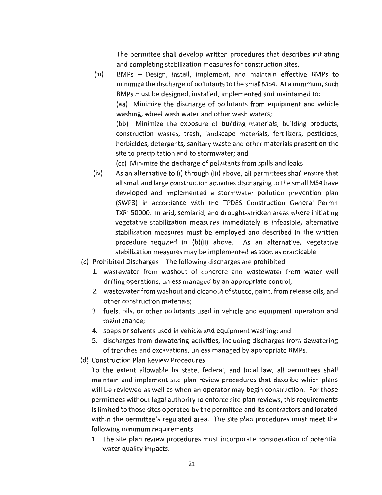The permittee shall develop written procedures that describes initiating and completing stabilization measures for construction sites.

(iii) BMPs - Design, install, implement, and maintain effective BMPs to minimize the discharge of pollutants to the small MS4. At a minimum, such BMPs must be designed, installed, implemented and maintained to:

(aa) Minimize the discharge of pollutants from equipment and vehicle washing, wheel wash water and other wash waters;

(bb) Minimize the exposure of building materials, building products, construction wastes, trash, landscape materials, fertilizers, pesticides, herbicides, detergents, sanitary waste and other materials present on the site to precipitation and to stormwater; and

(cc) Minimize the discharge of pollutants from spills and leaks.

- (iv) As an alternative to (i) through (iii) above, all permittees shall ensure that all small and large construction activities discharging to the small MS4 have developed and implemented a stormwater pollution prevention plan (SWP3) in accordance with the TPDES Construction General Permit TXRlS0000. In arid, semiarid, and drought-stricken areas where initiating vegetative stabilization measures immediately is infeasible, alternative stabilization measures must be employed and described in the written procedure required in (b)(ii) above. As an alternative, vegetative stabilization measures may be implemented as soon as practicable.
- (c) Prohibited Discharges -The following discharges are prohibited:
	- 1. wastewater from washout of concrete and wastewater from water well drilling operations, unless managed by an appropriate control;
	- 2. wastewater from washout and cleanout of stucco, paint, from release oils, and other construction materials;
	- 3. fuels, oils, or other pollutants used in vehicle and equipment operation and maintenance;
	- 4. soaps or solvents used in vehicle and equipment washing; and
	- 5. discharges from dewatering activities, including discharges from dewatering of trenches and excavations, unless managed by appropriate BMPs.
- (d) Construction Plan Review Procedures

To the extent allowable by state, federal, and local law, all permittees shall maintain and implement site plan review procedures that describe which plans will be reviewed as well as when an operator may begin construction. For those permittees without legal authority to enforce site plan reviews, this requirements is limited to those sites operated by the permittee and its contractors and located within the permittee's regulated area. The site plan procedures must meet the following minimum requirements.

1. The site plan review procedures must incorporate consideration of potential water quality impacts.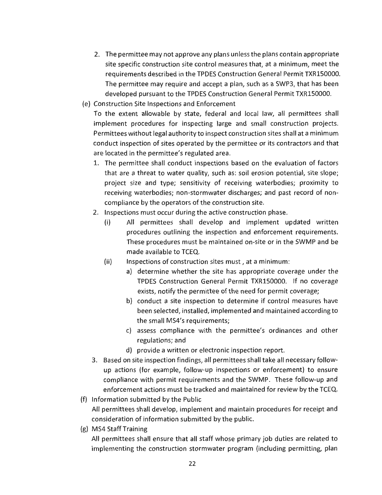- 2. The permittee may not approve any plans unless the plans contain appropriate site specific construction site control measures that, at a minimum, meet the requirements described in the TPDES Construction General Permit TXRlS0000. The permittee may require and accept a plan, such as a SWP3, that has been developed pursuant to the TPDES Construction General Permit TXR150000.
- (e) Construction Site Inspections and Enforcement

To the extent allowable by state, federal and local law, all permittees shall implement procedures for inspecting large and small construction projects. Permittees without legal authority to inspect construction sites shall at a minimum conduct inspection of sites operated by the permittee or its contractors and that are located in the permittee's regulated area.

- 1. The permittee shall conduct inspections based on the evaluation of factors that are a threat to water quality, such as: soil erosion potential, site slope; project size and type; sensitivity of receiving waterbodies; proximity to receiving waterbodies; non-stormwater discharges; and past record of noncompliance by the operators of the construction site.
- 2. Inspections must occur during the active construction phase.
	- (i) All permittees shall develop and implement updated written procedures outlining the inspection and enforcement requirements. These procedures must be maintained on-site or in the SWMP and be made available to TCEQ.
	- (ii) Inspections of construction sites must, at a minimum:
		- a) determine whether the site has appropriate coverage under the TPDES Construction General Permit TXR150000. If no coverage exists, notify the permittee of the need for permit coverage;
		- b) conduct a site inspection to determine if control measures have been selected, installed, implemented and maintained according to the small MS4's requirements;
		- c) assess compliance with the permittee's ordinances and other regulations; and
		- d) provide a written or electronic inspection report.
- 3. Based on site inspection findings, all permittees shall take all necessary followup actions (for example, follow-up inspections or enforcement) to ensure compliance with permit requirements and the SWMP. These follow-up and enforcement actions must be tracked and maintained for review by the TCEQ.
- (f) Information submitted by the Public All permittees shall develop, implement and maintain procedures for receipt and consideration of information submitted by the public.
- (g) MS4 Staff Training

All permittees shall ensure that all staff whose primary job duties are related to implementing the construction stormwater program (including permitting, plan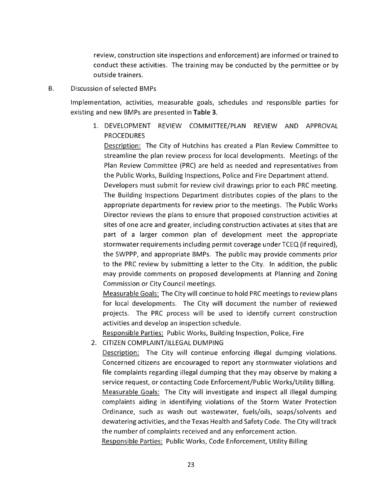review, construction site inspections and enforcement) are informed or trained to conduct these activities. The training may be conducted by the permittee or by outside trainers.

B. Discussion of selected BMPs

Implementation, activities, measurable goals, schedules and responsible parties for existing and new BMPs are presented in **Table 3.** 

1. DEVELOPMENT REVIEW COMMITTEE/PLAN REVIEW AND APPROVAL PROCEDURES

Description: The City of Hutchins has created a Plan Review Committee to streamline the plan review process for local developments. Meetings of the Plan Review Committee (PRC) are held as needed and representatives from the Public Works, Building Inspections, Police and Fire Department attend.

Developers must submit for review civil drawings prior to each PRC meeting. The Building Inspections Department distributes copies of the plans to the appropriate departments for review prior to the meetings. The Public Works Director reviews the plans to ensure that proposed construction activities at sites of one acre and greater, including construction activates at sites that are part of a larger common plan of development meet the appropriate stormwater requirements including permit coverage under TCEQ (if required), the SWPPP, and appropriate BMPs. The public may provide comments prior to the PRC review by submitting a letter to the City. In addition, the public may provide comments on proposed developments at Planning and Zoning Commission or City Council meetings.

Measurable Goals: The City will continue to hold PRC meetings to review plans for local developments. The City will document the number of reviewed projects. The PRC process will be used to identify current construction activities and develop an inspection schedule.

Responsible Parties: Public Works, Building Inspection, Police, Fire

2. CITIZEN COMPLAINT/ILLEGAL DUMPING

Description: The City will continue enforcing illegal dumping violations. Concerned citizens are encouraged to report any stormwater violations and file complaints regarding illegal dumping that they may observe by making a service request, or contacting Code Enforcement/Public Works/Utility Billing. Measurable Goals: The City will investigate and inspect all illegal dumping complaints aiding in identifying violations of the Storm Water Protection Ordinance, such as wash out wastewater, fuels/oils, soaps/solvents and dewatering activities, and the Texas Health and Safety Code. The City will track the number of complaints received and any enforcement action.

Responsible Parties: Public Works, Code Enforcement, Utility Billing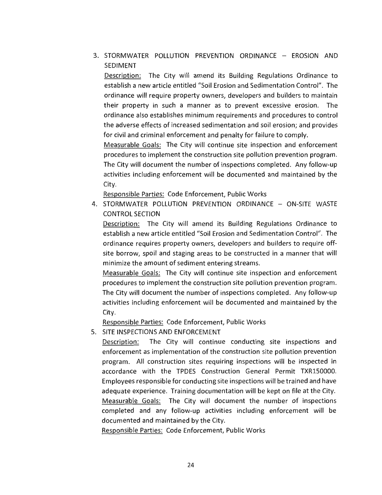3. STORMWATER POLLUTION PREVENTION ORDINANCE - EROSION AND SEDIMENT

Description: The City will amend its Building Regulations Ordinance to establish a new article entitled "Soil Erosion and Sedimentation Control". The ordinance will require property owners, developers and builders to maintain their property in such a manner as to prevent excessive erosion. The ordinance also establishes minimum requirements and procedures to control the adverse effects of increased sedimentation and soil erosion; and provides for civil and criminal enforcement and penalty for failure to comply.

Measurable Goals: The City will continue site inspection and enforcement procedures to implement the construction site pollution prevention program. The City will document the number of inspections completed. Any follow-up activities including enforcement will be documented and maintained by the City.

Responsible Parties: Code Enforcement, Public Works

4. STORMWATER POLLUTION PREVENTION ORDINANCE - ON-SITE WASTE CONTROL SECTION

Description: The City will amend its Building Regulations Ordinance to establish a new article entitled "Soil Erosion and Sedimentation Control". The ordinance requires property owners, developers and builders to require offsite borrow, spoil and staging areas to be constructed in a manner that will minimize the amount of sediment entering streams.

Measurable Goals: The City will continue site inspection and enforcement procedures to implement the construction site pollution prevention program. The City will document the number of inspections completed. Any follow-up activities including enforcement will be documented and maintained by the City.

Responsible Parties: Code Enforcement, Public Works

5. SITE INSPECTIONS AND ENFORCEMENT

Description: The City will continue conducting site inspections and enforcement as implementation of the construction site pollution prevention program. All construction sites requiring inspections will be inspected in accordance with the TPDES Construction General Permit TXR150000. Employees responsible for conducting site inspections will be trained and have adequate experience. Training documentation will be kept on file at the City. Measurable Goals: The City will document the number of inspections completed and any follow-up activities including enforcement will be documented and maintained by the City.

Responsible Parties: Code Enforcement, Public Works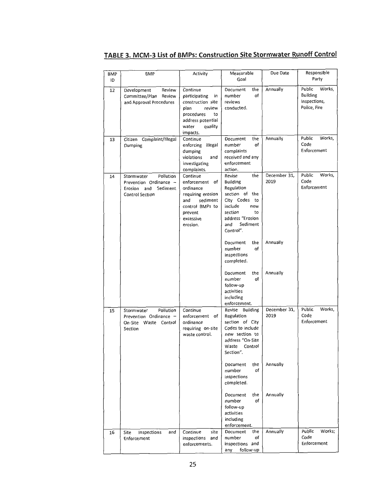# **TABLE 3. MCM-3 List of BMPs: Construction Site Stormwater Runoff Control**

| <b>BMP</b><br>ID | BMP                                                                                                    | Activity                                                                                                                                        | Measurable<br>Goal                                                                                                                                                   | Due Date             | Responsible<br>Party                                         |
|------------------|--------------------------------------------------------------------------------------------------------|-------------------------------------------------------------------------------------------------------------------------------------------------|----------------------------------------------------------------------------------------------------------------------------------------------------------------------|----------------------|--------------------------------------------------------------|
| 12               | Development<br>Review<br>Committee/Plan<br>Review<br>and Approval Procedures                           | Continue<br>participating<br>in<br>construction site<br>review<br>plan<br>procedures<br>to<br>address potential<br>water<br>quality<br>impacts. | Document<br>the<br>of<br>number<br>reviews<br>conducted.                                                                                                             | Annually             | Public<br>Works,<br>Building<br>Inspections,<br>Police, Fire |
| 13               | Citizen Complaint/Illegal<br>Dumping                                                                   | Continue<br>enforcing illegal<br>dumping<br>violations<br>and<br>investigating<br>complaints.                                                   | the<br>Document<br>number<br>of<br>complaints<br>received and any<br>enforcement<br>action.                                                                          | Annually             | Public<br>Works,<br>Code<br>Enforcement                      |
| 14               | Pollution<br>Stormwater<br>Prevention Ordinance -<br>Sediment<br>Erosion and<br><b>Control Section</b> | Continue<br>enforcement of<br>ordinance<br>requiring erosion<br>sediment<br>and<br>control BMPs to<br>prevent<br>excessive<br>erosion.          | the<br>Revise<br>Building<br>Regulation<br>section of the<br>City Codes<br>to<br>include<br>new<br>section<br>to<br>address "Erosion<br>Sediment<br>and<br>Control". | December 31,<br>2019 | Works,<br>Public<br>Code<br>Enforcement                      |
|                  |                                                                                                        |                                                                                                                                                 | the<br>Document<br>of<br>number<br>inspections<br>completed.                                                                                                         | Annually             |                                                              |
|                  |                                                                                                        |                                                                                                                                                 | Document<br>the<br>number<br>of<br>follow-up<br>activities<br>including<br>enforcement.                                                                              | Annually             |                                                              |
| 15               | Pollution<br>Stormwater<br>Prevention Ordinance -<br>On-Site Waste Control<br>Section                  | Continue<br>enforcement of<br>ordinance<br>requiring on-site<br>waste control.                                                                  | Revise Building<br>Regulation<br>section of City<br>Codes to include<br>new section to<br>address "On-Site<br>Control<br>Waste<br>Section".                          | December 31,<br>2019 | Public<br>Works,<br>Code<br>Enforcement                      |
|                  |                                                                                                        |                                                                                                                                                 | Document<br>the<br>of<br>number<br>inspections<br>completed.                                                                                                         | Annually             |                                                              |
|                  |                                                                                                        |                                                                                                                                                 | Document<br>the<br>of<br>number<br>follow-up<br>activities<br>including<br>enforcement.                                                                              | Annually             |                                                              |
| 16               | Site<br>Inspections<br>and<br>Enforcement                                                              | Continue<br>site<br>inspections and<br>enforcements.                                                                                            | Document<br>the<br>number<br>of<br>inspections and<br>follow-up<br>any                                                                                               | Annually             | Public<br>Works;<br>Code<br>Enforcement                      |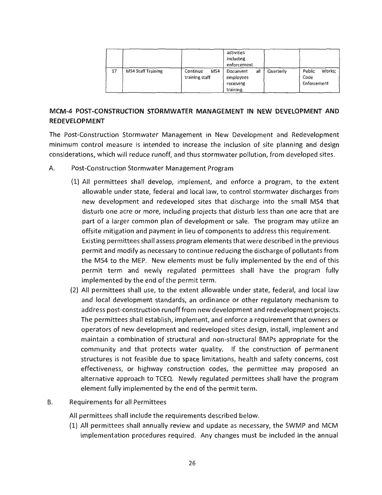|    |                           |                                   | activities<br>including<br>enforcement.                |           |                                         |
|----|---------------------------|-----------------------------------|--------------------------------------------------------|-----------|-----------------------------------------|
| 17 | <b>MS4 Staff Training</b> | MS4<br>Continue<br>training staff | all<br>Document<br>employees<br>receiving<br>training. | Quarterly | Works;<br>Public<br>Code<br>Enforcement |

# **MCM-4 POST-CONSTRUCTION STORMWATER MANAGEMENT IN NEW DEVELOPMENT AND REDEVELOPMENT**

The Post-Construction Stormwater Management in New Development and Redevelopment minimum control measure is intended to increase the inclusion of site planning and design considerations, which will reduce runoff, and thus stormwater pollution, from developed sites.

- A. Post-Construction Stormwater Management Program
	- (1) All permittees shall develop, implement, and enforce a program, to the extent allowable under state, federal and local law, to control stormwater discharges from new development and redeveloped sites that discharge into the small MS4 that disturb one acre or more, including projects that disturb less than one acre that are part of a larger common plan of development or sale. The program may utilize an offsite mitigation and payment in lieu of components to address this requirement. Existing permittees shall assess program elements that were described in the previous permit and modify as necessary to continue reducing the discharge of pollutants from the MS4 to the MEP. New elements must be fully implemented by the end of this permit term and newly regulated permittees shall have the program fully implemented by the end of the permit term.
	- (2) All permittees shall use, to the extent allowable under state, federal, and local law and local development standards, an ordinance or other regulatory mechanism to address post-construction runoff from new development and redevelopment projects. The permittees shall establish, implement, and enforce a requirement that owners or operators of new development and redeveloped sites design, install, implement and maintain a combination of structural and non-structural BMPs appropriate for the community and that protects water quality. If the construction of permanent structures is not feasible due to space limitations, health and safety concerns, cost effectiveness, or highway construction codes, the permittee may proposed an alternative approach to TCEQ. Newly regulated permittees shall have the program element fully implemented by the end of the permit term.
- B. Requirements for all Permittees

All permittees shall include the requirements described below.

(1) All permittees shall annually review and update as necessary, the SWMP and MCM implementation procedures required. Any changes must be included in the annual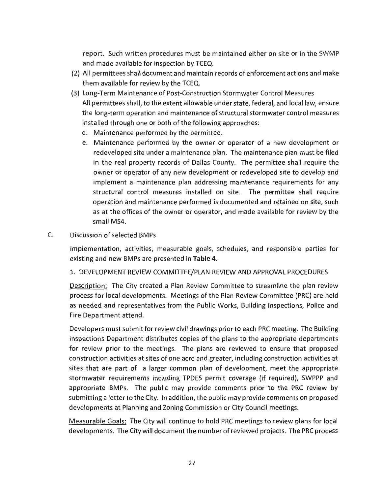report. Such written procedures must be maintained either on site or in the SWMP and made available for inspection by TCEQ.

- (2) All permittees shall document and maintain records of enforcement actions and make them available for review by the TCEQ.
- (3) Long-Term Maintenance of Post-Construction Stormwater Control Measures All permittees shall, to the extent allowable under state, federal, and local law, ensure the long-term operation and maintenance of structural stormwater control measures installed through one or both of the following approaches:
	- d. Maintenance performed by the permittee.
	- e. Maintenance performed by the owner or operator of a new development or redeveloped site under a maintenance plan. The maintenance plan must be filed in the real property records of Dallas County. The permittee shall require the owner or operator of any new development or redeveloped site to develop and implement a maintenance plan addressing maintenance requirements for any structural control measures installed on site. The permittee shall require operation and maintenance performed is documented and retained on site, such as at the offices of the owner or operator, and made available for review by the small MS4.
- C. Discussion of selected BMPs

Implementation, activities, measurable goals, schedules, and responsible parties for existing and new BMPs are presented in **Table 4.** 

1. DEVELOPMENT REVIEW COMMITTEE/PLAN REVIEW AND APPROVAL PROCEDURES

Description: The City created a Plan Review Committee to streamline the plan review process for local developments. Meetings of the Plan Review Committee (PRC) are held as needed and representatives from the Public Works, Building Inspections, Police and Fire Department attend.

Developers must submit for review civil drawings prior to each PRC meeting. The Building Inspections Department distributes copies of the plans to the appropriate departments for review prior to the meetings. The plans are reviewed to ensure that proposed construction activities at sites of one acre and greater, including construction activities at sites that are part of a larger common plan of development, meet the appropriate stormwater requirements including TPDES permit coverage (if required), SWPPP and appropriate BMPs. The public may provide comments prior to the PRC review by submitting a letter to the City. In addition, the public may provide comments on proposed developments at Planning and Zoning Commission or City Council meetings.

Measurable Goals: The City will continue to hold PRC meetings to review plans for local developments. The City will document the number of reviewed projects. The PRC process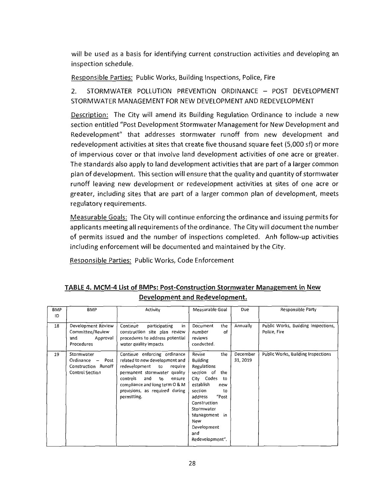will be used as a basis for identifying current construction activities and developing an inspection schedule.

Responsible Parties: Public Works, Building Inspections, Police, Fire

2. STORMWATER POLLUTION PREVENTION ORDINANCE - POST DEVELOPMENT STORMWATER MANAGEMENT FOR NEW DEVELOPMENT AND REDEVELOPMENT

Description: The City will amend its Building Regulation Ordinance to include a new section entitled "Post Development Stormwater Management for New Development and Redevelopment" that addresses stormwater runoff from new development and redevelopment activities at sites that create five thousand square feet (5,000 sf) or more of impervious cover or that involve land development activities of one acre or greater. The standards also apply to land development activities that are part of a larger common plan of development. This section will ensure that the quality and quantity of stormwater runoff leaving new development or redevelopment activities at sites of one acre or greater, including sites that are part of a larger common plan of development, meets regulatory requirements.

Measurable Goals: The City will continue enforcing the ordinance and issuing permits for applicants meeting all requirements of the ordinance. The City will document the number of permits issued and the number of inspections completed. Anh follow-up activities including enforcement will be documented and maintained by the City.

Responsible Parties: Public Works, Code Enforcement

#### **TABLE 4. MCM-4 List of BMPs: Post-Construction Stormwater Management in New Development and Redevelopment.**

| <b>BMP</b><br>ID | <b>BMP</b>                                                                         | Activity                                                                                                                                                                                                                                               | Measurable Goal                                                                                                                                                                                                                                  | Due                  | Responsible Party                                   |
|------------------|------------------------------------------------------------------------------------|--------------------------------------------------------------------------------------------------------------------------------------------------------------------------------------------------------------------------------------------------------|--------------------------------------------------------------------------------------------------------------------------------------------------------------------------------------------------------------------------------------------------|----------------------|-----------------------------------------------------|
| 18               | Development Review<br>Committee/Review<br>and<br>Approval<br>Procedures            | Continue<br>participating<br>in<br>construction site plan review<br>procedures to address potential<br>water quality impacts                                                                                                                           | the<br>Document<br>of<br>number<br>reviews<br>conducted.                                                                                                                                                                                         | Annually             | Public Works, Building Inspections,<br>Police, Fire |
| 19               | Stormwater<br>Ordinance -<br>Post<br>Construction Runoff<br><b>Control Section</b> | Continue enforcing ordinance<br>related to new development and<br>redevelopment<br>to<br>require<br>permanent stormwater quality<br>controls<br>and<br>to<br>ensure<br>compliance and long term O & M<br>provisions, as required during<br>permitting. | Revise<br>the<br><b>Building</b><br>Regulations<br>section of<br>the<br>City Codes<br>to<br>establish<br>new<br>section<br>to<br>"Post<br>address<br>Construction<br>Stormwater<br>Management in<br>New<br>Development<br>and<br>Redevelopment". | December<br>31, 2019 | Public Works, Building Inspections                  |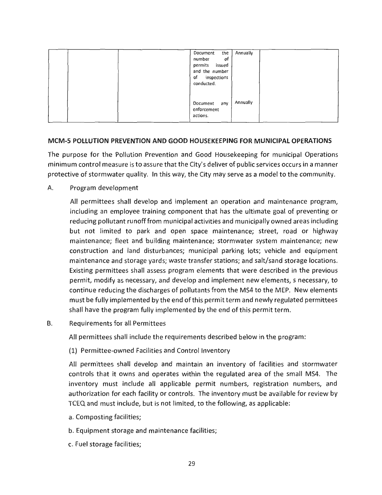| the<br>Annually<br>Document<br>of<br>number<br>permits issued<br>and the number<br>of inspections<br>conducted. |
|-----------------------------------------------------------------------------------------------------------------|
| Annually<br>Document any<br>enforcement<br>actions.                                                             |

#### **MCM-5 POLLUTION PREVENTION AND GOOD HOUSEKEEPING FOR MUNICIPAL OPERATIONS**

The purpose for the Pollution Prevention and Good Housekeeping for municipal Operations minimum control measure is to assure that the City's deliver of public services occurs in a manner protective of stormwater quality. In this way, the City may serve as a model to the community.

A. Program development

All permittees shall develop and implement an operation and maintenance program, including an employee training component that has the ultimate goal of preventing or reducing pollutant runoff from municipal activities and municipally owned areas including but not limited to park and open space maintenance; street, road or highway maintenance; fleet and building maintenance; stormwater system maintenance; new construction and land disturbances; municipal parking lots; vehicle and equipment maintenance and storage yards; waste transfer stations; and salt/sand storage locations. Existing permittees shall assess program elements that were described in the previous permit, modify as necessary, and develop and implement new elements, s necessary, to continue reducing the discharges of pollutants from the MS4 to the MEP. New elements must be fully implemented by the end of this permit term and newly regulated permittees shall have the program fully implemented by the end of this permit term.

B. Requirements for all Permittees

All permittees shall include the requirements described below in the program:

(1) Permittee-owned Facilities and Control Inventory

All permittees shall develop and maintain an inventory of facilities and stormwater controls that it owns and operates within the regulated area of the small MS4. The inventory must include all applicable permit numbers, registration numbers, and authorization for each facility or controls. The inventory must be available for review by TCEQ and must include, but is not limited, to the following, as applicable:

- a. Composting facilities;
- b. Equipment storage and maintenance facilities;
- c. Fuel storage facilities;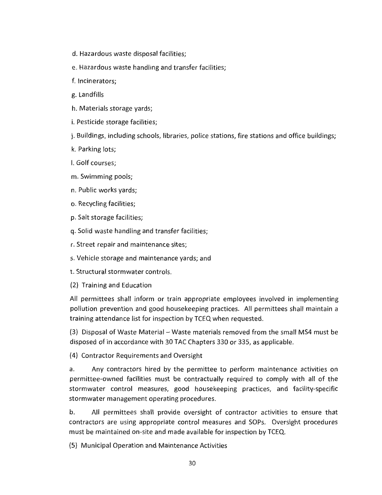- d. Hazardous waste disposal facilities;
- e. Hazardous waste handling and transfer facilities;
- f. Incinerators;
- g. Landfills
- h. Materials storage yards;
- i. Pesticide storage facilities;
- j. Buildings, including schools, libraries, police stations, fire stations and office buildings;
- k. Parking lots;
- I. Golf courses;
- m. Swimming pools;
- n. Public works yards;
- o. Recycling facilities;
- p. Salt storage facilities;
- q. Solid waste handling and transfer facilities;
- r. Street repair and maintenance sites;
- s. Vehicle storage and maintenance yards; and
- t. Structural stormwater controls.
- (2) Training and Education

All permittees shall inform or train appropriate employees involved in implementing pollution prevention and good housekeeping practices. All permittees shall maintain a training attendance list for inspection by TCEQ when requested.

(3) Disposal of Waste Material - Waste materials removed from the small MS4 must be disposed of in accordance with 30 TAC Chapters 330 or 335, as applicable.

(4) Contractor Requirements and Oversight

a. Any contractors hired by the permittee to perform maintenance activities on permittee-owned facilities must be contractually required to comply with all of the stormwater control measures, good housekeeping practices, and facility-specific stormwater management operating procedures.

b. All permittees shall provide oversight of contractor activities to ensure that contractors are using appropriate control measures and SOPs. Oversight procedures must be maintained on-site and made available for inspection by TCEQ.

(5) Municipal Operation and Maintenance Activities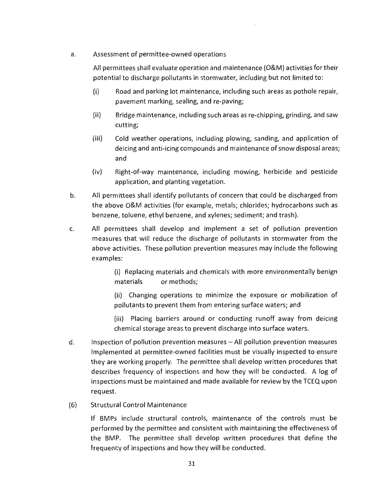a. Assessment of permittee-owned operations

All permittees shall evaluate operation and maintenance (O&M) activities for their potential to discharge pollutants in stormwater, including but not limited to:

- (i) Road and parking lot maintenance, including such areas as pothole repair, pavement marking, sealing, and re-paving;
- (ii) Bridge maintenance, including such areas as re-chipping, grinding, and saw cutting;
- (iii) Cold weather operations, including plowing, sanding, and application of deicing and anti-icing compounds and maintenance of snow disposal areas; and
- (iv) Right-of-way maintenance, including mowing, herbicide and pesticide application, and planting vegetation.
- b. All permittees shall identify pollutants of concern that could be discharged from the above O&M activities (for example, metals; chlorides; hydrocarbons such as benzene, toluene, ethyl benzene, and xylenes; sediment; and trash).
- c. All permittees shall develop and implement a set of pollution prevention measures that will reduce the discharge of pollutants in stormwater from the above activities. These pollution prevention measures may include the following examples:

(i) Replacing materials and chemicals with more environmentally benign materials or methods;

(ii) Changing operations to minimize the exposure or mobilization of pollutants to prevent them from entering surface waters; and

(iii) Placing barriers around or conducting runoff away from deicing chemical storage areas to prevent discharge into surface waters.

- d. Inspection of pollution prevention measures All pollution prevention measures Implemented at permittee-owned facilities must be visually inspected to ensure they are working properly. The permittee shall develop written procedures that describes frequency of inspections and how they will be conducted. A log of inspections must be maintained and made available for review by the TCEQ upon request.
- (6) Structural Control Maintenance

If BMPs include structural controls, maintenance of the controls must be performed by the permittee and consistent with maintaining the effectiveness of the BMP. The permittee shall develop written procedures that define the frequency of inspections and how they will be conducted.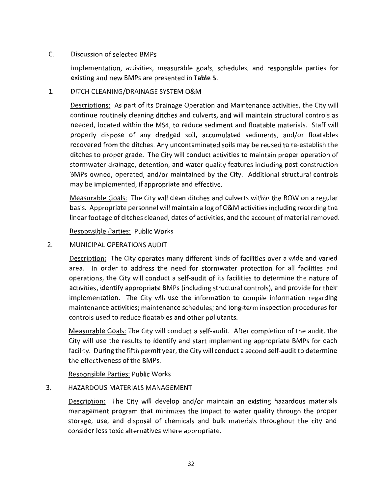#### C. Discussion of selected BMPs

Implementation, activities, measurable goals, schedules, and responsible parties for existing and new BMPs are presented in **Table 5.** 

#### 1. DITCH CLEANING/DRAINAGE SYSTEM O&M

Descriptions: As part of its Drainage Operation and Maintenance activities, the City will continue routinely cleaning ditches and culverts, and will maintain structural controls as needed, located within the MS4, to reduce sediment and floatable materials. Staff will properly dispose of any dredged soil, accumulated sediments, and/or floatables recovered from the ditches. Any uncontaminated soils may be reused to re-establish the ditches to proper grade. The City will conduct activities to maintain proper operation of stormwater drainage, detention, and water quality features including post-construction BMPs owned, operated, and/or maintained by the City. Additional structural controls may be implemented, if appropriate and effective.

Measurable Goals: The City will clean ditches and culverts within the ROW on a regular basis. Appropriate personnel will maintain a log of O&M activities including recording the linear footage of ditches cleaned, dates of activities, and the account of material removed.

Responsible Parties: Public Works

2. MUNICIPAL OPERATIONS AUDIT

Description: The City operates many different kinds of facilities over a wide and varied area. In order to address the need for stormwater protection for all facilities and operations, the City will conduct a self-audit of its facilities to determine the nature of activities, identify appropriate BMPs (including structural controls), and provide for their implementation. The City will use the information to compile information regarding maintenance activities; maintenance schedules; and long-term inspection procedures for controls used to reduce floatables and other pollutants.

Measurable Goals: The City will conduct a self-audit. After completion of the audit, the City will use the results to identify and start implementing appropriate BMPs for each facility. During the fifth permit year, the City will conduct a second self-audit to determine the effectiveness of the BMPs.

Responsible Parties: Public Works

#### 3. HAZARDOUS MATERIALS MANAGEMENT

Description: The City will develop and/or maintain an existing hazardous materials management program that minimizes the impact to water quality through the proper storage, use, and disposal of chemicals and bulk materials throughout the city and consider less toxic alternatives where appropriate.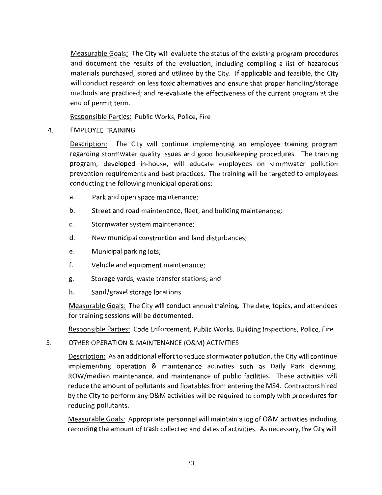Measurable Goals: The City will evaluate the status of the existing program procedures and document the results of the evaluation, including compiling a list of hazardous materials purchased, stored and utilized by the City. If applicable and feasible, the City will conduct research on less toxic alternatives and ensure that proper handling/storage methods are practiced; and re-evaluate the effectiveness of the current program at the end of permit term.

Responsible Parties: Public Works, Police, Fire

#### 4. EMPLOYEE TRAINING

Description: The City will continue implementing an employee training program regarding stormwater quality issues and good housekeeping procedures. The training program, developed in-house, will educate employees on stormwater pollution prevention requirements and best practices. The training will be targeted to employees conducting the following municipal operations:

- a. Park and open space maintenance;
- b. Street and road maintenance, fleet, and building maintenance;
- c. Stormwater system maintenance;
- d. New municipal construction and land disturbances;
- e. Municipal parking lots;
- f. Vehicle and equipment maintenance;
- g. Storage yards, waste transfer stations; and
- h. Sand/gravel storage locations.

Measurable Goals: The City will conduct annual training. The date, topics, and attendees for training sessions will be documented.

Responsible Parties: Code Enforcement, Public Works, Building Inspections, Police, Fire

#### 5. OTHER OPERATION & MAINTENANCE (O&M) ACTIVITIES

Description: As an additional effort to reduce stormwater pollution, the City will continue implementing operation & maintenance activities such as Daily Park cleaning, ROW/median maintenance, and maintenance of public facilities. These activities will reduce the amount of pollutants and floatables from entering the MS4. Contractors hired by the City to perform any O&M activities will be required to comply with procedures for reducing pollutants.

Measurable Goals: Appropriate personnel will maintain a log of O&M activities including recording the amount of trash collected and dates of activities. As necessary, the City will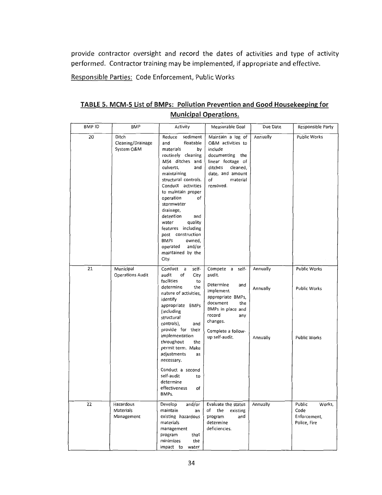**provide contractor oversight and record the dates of activities and type of activity performed. Contractor training may be implemented, if appropriate and effective.** 

**Responsible Parties: Code Enforcement, Public Works** 

| TABLE 5. MCM-5 List of BMPs: Pollution Prevention and Good Housekeeping for |  |  |  |  |  |
|-----------------------------------------------------------------------------|--|--|--|--|--|
| <b>Municipal Operations.</b>                                                |  |  |  |  |  |

| <b>BMPID</b> | BMP                                      | Activity                                                                                                                                                                                                                                                                                                                                                                                                                | Measurable Goal                                                                                                                                                                              | Due Date                         | Responsible Party                                        |
|--------------|------------------------------------------|-------------------------------------------------------------------------------------------------------------------------------------------------------------------------------------------------------------------------------------------------------------------------------------------------------------------------------------------------------------------------------------------------------------------------|----------------------------------------------------------------------------------------------------------------------------------------------------------------------------------------------|----------------------------------|----------------------------------------------------------|
| 20           | Ditch<br>Cleaning/Drainage<br>System O&M | sediment<br>Reduce<br>and<br>floatable<br>materials<br>by<br>routinely cleaning<br>MS4 ditches and<br>culverts,<br>and<br>maintaining<br>structural controls.<br>Conduct activities<br>to maintain proper<br>operation<br>of<br>stormwater<br>drainage,<br>detention<br>and<br>quality<br>water<br>features including<br>post construction<br><b>BMPs</b><br>owned,<br>and/or<br>operated<br>maintained by the<br>City. | Maintain a log of<br>O&M activities to<br>include<br>documenting the<br>linear footage of<br>ditches<br>cleaned,<br>date, and amount<br>of<br>material<br>removed.                           | Annually                         | <b>Public Works</b>                                      |
| 21           | Municipal<br><b>Operations Audit</b>     | Conduct a<br>self-<br>audit<br>of<br>City<br>facilities<br>to<br>determine<br>the<br>nature of activities,<br>identify<br>appropriate BMPs<br>(including<br>structural<br>controls),<br>and<br>provide for their<br>implementation<br>throughout<br>the<br>permit term. Make<br>adjustments<br>as<br>necessary.<br>Conduct a second<br>self-audit<br>to<br>determine<br>effectiveness<br>of<br>BMPs.                    | Compete a self-<br>audit.<br>Determine<br>and<br>implement<br>appropriate BMPs,<br>document<br>the<br>BMPs in place and<br>record<br>any<br>changes.<br>Complete a follow-<br>up self-audit. | Annually<br>Annually<br>Annually | Public Works<br>Public Works<br><b>Public Works</b>      |
| 22           | Hazardous<br>Materials<br>Management     | Develop<br>and/or<br>maintain<br>an<br>existing hazardous<br>materials<br>management<br>that<br>program<br>minimizes<br>the<br>impact to water                                                                                                                                                                                                                                                                          | Evaluate the status<br>of<br>the<br>existing<br>and<br>program<br>determine<br>deficiencies.                                                                                                 | Annually                         | Public<br>Works,<br>Code<br>Enforcement,<br>Police, Fire |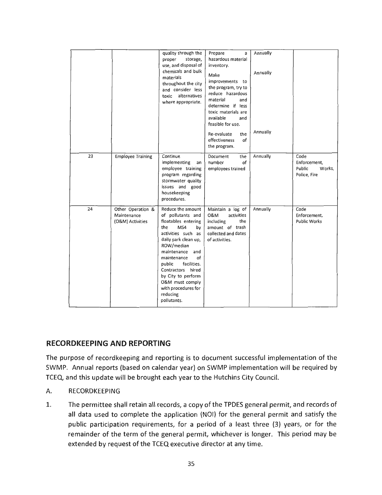|    |                                                      | quality through the<br>proper<br>storage,<br>use, and disposal of<br>chemicals and bulk<br>materials<br>throughout the city<br>and consider less<br>alternatives<br>toxic<br>where appropriate.                                                                                                                                   | Prepare<br>a<br>hazardous material<br>inventory.<br>Make<br>improvements to<br>the program, try to<br>reduce hazardous<br>material<br>and<br>determine if less<br>toxic materials are<br>available<br>and<br>feasible for use.<br>the<br>Re-evaluate<br>of<br>effectiveness<br>the program. | Annually<br>Annually<br>Annually |                                                          |
|----|------------------------------------------------------|-----------------------------------------------------------------------------------------------------------------------------------------------------------------------------------------------------------------------------------------------------------------------------------------------------------------------------------|---------------------------------------------------------------------------------------------------------------------------------------------------------------------------------------------------------------------------------------------------------------------------------------------|----------------------------------|----------------------------------------------------------|
| 23 | <b>Employee Training</b>                             | Continue<br>implementing<br>an<br>employee training<br>program regarding<br>stormwater quality<br>issues and good<br>housekeeping<br>procedures.                                                                                                                                                                                  | Document<br>the<br>of<br>number<br>employees trained                                                                                                                                                                                                                                        | Annually                         | Code<br>Enforcement,<br>Public<br>Works,<br>Police, Fire |
| 24 | Other Operation &<br>Maintenance<br>(O&M) Activities | Reduce the amount<br>of pollutants and<br>floatables entering<br>MS4<br>the<br>by<br>activities such as<br>daily park clean up,<br>ROW/median<br>maintenance<br>and<br>maintenance<br>of<br>facilities.<br>public<br>Contractors hired<br>by City to perform<br>O&M must comply<br>with procedures for<br>reducing<br>pollutants. | Maintain a log of<br>0&M<br>activities<br>including<br>the<br>amount of trash<br>collected and dates<br>of activities.                                                                                                                                                                      | Annually                         | Code<br>Enforcement,<br>Public Works                     |

# **RECORDKEEPING AND REPORTING**

The purpose of recordkeeping and reporting is to document successful implementation of the SWMP. Annual reports (based on calendar year) on SWMP implementation will be required by TCEQ, and this update will be brought each year to the Hutchins City Council.

- A. RECORDKEEPING
- 1. The permittee shall retain all records, a copy of the TPDES general permit, and records of all data used to complete the application (NOi) for the general permit and satisfy the public participation requirements, for a period of a least three (3) years, or for the remainder of the term of the general permit, whichever is longer. This period may be extended by request of the TCEQ executive director at any time.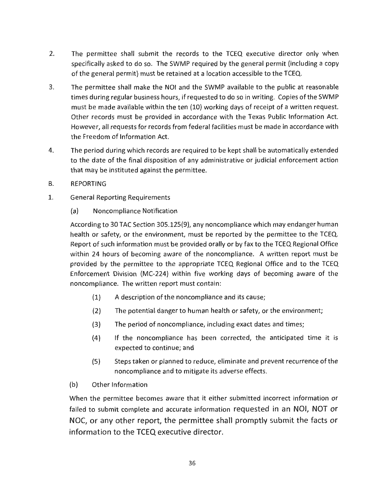- 2. The permittee shall submit the records to the TCEQ executive director only when specifically asked to do so. The SWMP required by the general permit (including a copy of the general permit) must be retained at a location accessible to the TCEQ.
- 3. The permittee shall make the NOi and the SWMP available to the public at reasonable times during regular business hours, if requested to do so in writing. Copies of the SWMP must be made available within the ten (10) working days of receipt of a written request. Other records must be provided in accordance with the Texas Public Information Act. However, all requests for records from federal facilities must be made in accordance with the Freedom of Information Act.
- 4. The period during which records are required to be kept shall be automatically extended to the date of the final disposition of any administrative or judicial enforcement action that may be instituted against the permittee.
- B. REPORTING
- 1. General Reporting Requirements
	- (a) Noncompliance Notification

According to 30 TAC Section 305.125(9), any noncompliance which may endanger human health or safety, or the environment, must be reported by the permittee to the TCEQ. Report of such information must be provided orally or by fax to the TCEQ Regional Office within 24 hours of becoming aware of the noncompliance. A written report must be provided by the permittee to the appropriate TCEQ Regional Office and to the TCEQ Enforcement Division (MC-224) within five working days of becoming aware of the noncompliance. The written report must contain:

- (1) A description of the noncompliance and its cause;
- (2) The potential danger to human health or safety, or the environment;
- (3) The period of noncompliance, including exact dates and times;
- (4) If the noncompliance has been corrected, the anticipated time it is expected to continue; and
- (5) Steps taken or planned to reduce, eliminate and prevent recurrence of the noncompliance and to mitigate its adverse effects.
- (b) Other Information

When the permittee becomes aware that it either submitted incorrect information or failed to submit complete and accurate information requested in an NOi, NOT or NOC, or any other report, the permittee shall promptly submit the facts or information to the TCEQ executive director.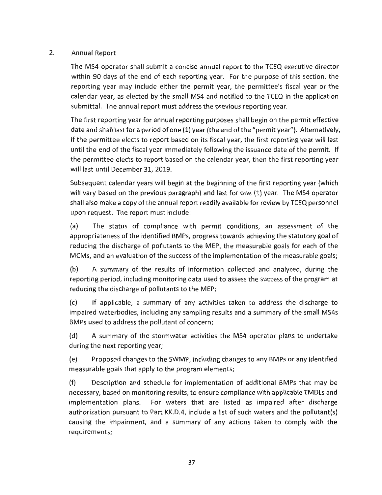#### 2. Annual Report

The MS4 operator shall submit a concise annual report to the TCEQ executive director within 90 days of the end of each reporting year. For the purpose of this section, the reporting year may include either the permit year, the permittee's fiscal year or the calendar year, as elected by the small MS4 and notified to the TCEQ in the application submittal. The annual report must address the previous reporting year.

The first reporting year for annual reporting purposes shall begin on the permit effective date and shall last for a period of one (1) year (the end of the "permit year"). Alternatively, if the permittee elects to report based on its fiscal year, the first reporting year will last until the end of the fiscal year immediately following the issuance date of the permit. If the permittee elects to report based on the calendar year, then the first reporting year will last until December 31, 2019.

Subsequent calendar years will begin at the beginning of the first reporting year (which will vary based on the previous paragraph) and last for one (1) year. The MS4 operator shall also make a copy of the annual report readily available for review by TCEQ personnel upon request. The report must include:

(a) The status of compliance with permit conditions, an assessment of the appropriateness of the identified BMPs, progress towards achieving the statutory goal of reducing the discharge of pollutants to the MEP, the measurable goals for each of the MCMs, and an evaluation of the success of the implementation of the measurable goals;

(b) A summary of the results of information collected and analyzed, during the reporting period, including monitoring data used to assess the success of the program at reducing the discharge of pollutants to the MEP;

(c) If applicable, a summary of any activities taken to address the discharge to impaired waterbodies, including any sampling results and a summary of the small MS4s BMPs used to address the pollutant of concern;

(d) A summary of the stormwater activities the MS4 operator plans to undertake during the next reporting year;

(e) Proposed changes to the SWMP, including changes to any BMPs or any identified measurable goals that apply to the program elements;

(f) Description and schedule for implementation of additional BMPs that may be necessary, based on monitoring results, to ensure compliance with applicable TMDLs and implementation plans. For waters that are listed as impaired after discharge authorization pursuant to Part KK.D.4, include a list of such waters and the pollutant(s) causing the impairment, and a summary of any actions taken to comply with the requirements;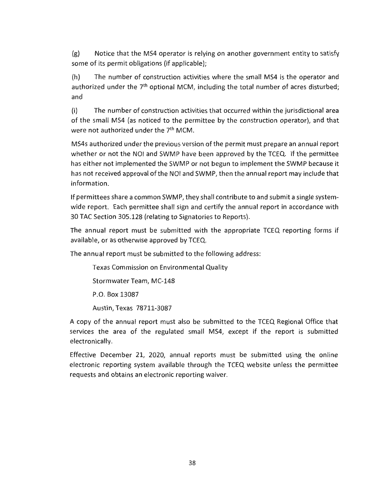(g) Notice that the MS4 operator is relying on another government entity to satisfy some of its permit obligations (if applicable);

(h) The number of construction activities where the small MS4 is the operator and authorized under the  $7<sup>th</sup>$  optional MCM, including the total number of acres disturbed; and

(i) The number of construction activities that occurred within the jurisdictional area of the small MS4 (as noticed to the permittee by the construction operator), and that were not authorized under the 7<sup>th</sup> MCM.

MS4s authorized under the previous version of the permit must prepare an annual report whether or not the NOI and SWMP have been approved by the TCEQ. If the permittee has either not implemented the SWMP or not begun to implement the SWMP because it has not received approval of the NOi and SWMP, then the annual report may include that information.

If permittees share a common SWMP, they shall contribute to and submit a single systemwide report. Each permittee shall sign and certify the annual report in accordance with 30 TAC Section 305.128 (relating to Signatories to Reports).

The annual report must be submitted with the appropriate TCEQ reporting forms if available, or as otherwise approved by TCEQ.

The annual report must be submitted to the following address:

Texas Commission on Environmental Quality

Stormwater Team, MC-148

P.O. Box 13087

Austin, Texas 78711-3087

A copy of the annual report must also be submitted to the TCEQ Regional Office that services the area of the regulated small MS4, except if the report is submitted electronically.

Effective December 21, 2020, annual reports must be submitted using the online electronic reporting system available through the TCEQ website unless the permittee requests and obtains an electronic reporting waiver.